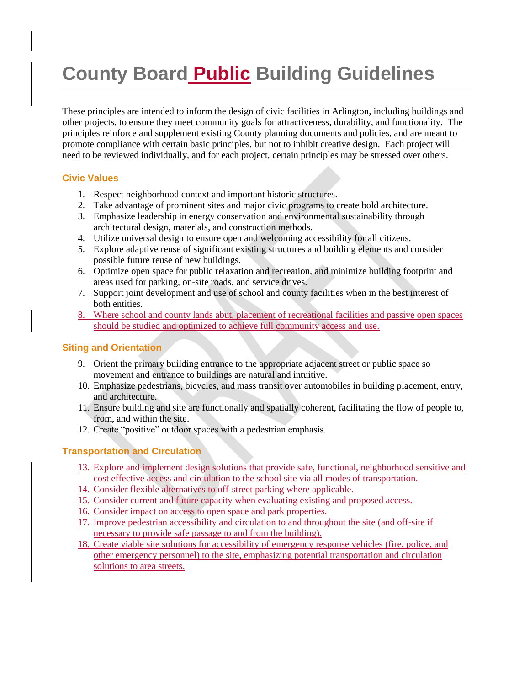# **County Board Public Building Guidelines**

These principles are intended to inform the design of civic facilities in Arlington, including buildings and other projects, to ensure they meet community goals for attractiveness, durability, and functionality. The principles reinforce and supplement existing County planning documents and policies, and are meant to promote compliance with certain basic principles, but not to inhibit creative design. Each project will need to be reviewed individually, and for each project, certain principles may be stressed over others.

## **Civic Values**

- 1. Respect neighborhood context and important historic structures.
- 2. Take advantage of prominent sites and major civic programs to create bold architecture.
- 3. Emphasize leadership in energy conservation and environmental sustainability through architectural design, materials, and construction methods.
- 4. Utilize universal design to ensure open and welcoming accessibility for all citizens.
- 5. Explore adaptive reuse of significant existing structures and building elements and consider possible future reuse of new buildings.
- 6. Optimize open space for public relaxation and recreation, and minimize building footprint and areas used for parking, on-site roads, and service drives.
- 7. Support joint development and use of school and county facilities when in the best interest of both entities.
- 8. Where school and county lands abut, placement of recreational facilities and passive open spaces should be studied and optimized to achieve full community access and use.

## **Siting and Orientation**

- 9. Orient the primary building entrance to the appropriate adjacent street or public space so movement and entrance to buildings are natural and intuitive.
- 10. Emphasize pedestrians, bicycles, and mass transit over automobiles in building placement, entry, and architecture.
- 11. Ensure building and site are functionally and spatially coherent, facilitating the flow of people to, from, and within the site.
- 12. Create "positive" outdoor spaces with a pedestrian emphasis.

## **Transportation and Circulation**

- 13. Explore and implement design solutions that provide safe, functional, neighborhood sensitive and cost effective access and circulation to the school site via all modes of transportation.
- 14. Consider flexible alternatives to off-street parking where applicable.
- 15. Consider current and future capacity when evaluating existing and proposed access.
- 16. Consider impact on access to open space and park properties.
- 17. Improve pedestrian accessibility and circulation to and throughout the site (and off-site if necessary to provide safe passage to and from the building).
- 18. Create viable site solutions for accessibility of emergency response vehicles (fire, police, and other emergency personnel) to the site, emphasizing potential transportation and circulation solutions to area streets.